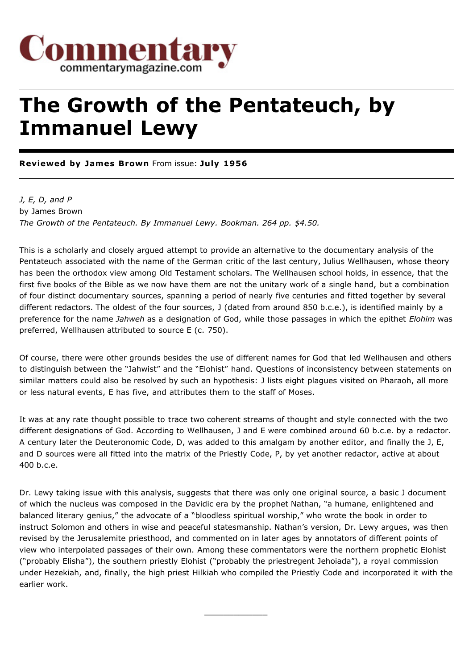

## **The Growth of the Pentateuch, by Immanuel Lewy**

**Reviewed by James Brown** From issue: **July 1956**

*J, E, D, and P* by James Brown *The Growth of the Pentateuch. By Immanuel Lewy. Bookman. 264 pp. \$4.50.*

This is a scholarly and closely argued attempt to provide an alternative to the documentary analysis of the Pentateuch associated with the name of the German critic of the last century, Julius Wellhausen, whose theory has been the orthodox view among Old Testament scholars. The Wellhausen school holds, in essence, that the first five books of the Bible as we now have them are not the unitary work of a single hand, but a combination of four distinct documentary sources, spanning a period of nearly five centuries and fitted together by several different redactors. The oldest of the four sources, J (dated from around 850 b.c.e.), is identified mainly by a preference for the name *Jahweh* as a designation of God, while those passages in which the epithet *Elohim* was preferred, Wellhausen attributed to source E (c. 750).

Of course, there were other grounds besides the use of different names for God that led Wellhausen and others to distinguish between the "Jahwist" and the "Elohist" hand. Questions of inconsistency between statements on similar matters could also be resolved by such an hypothesis: J lists eight plagues visited on Pharaoh, all more or less natural events, E has five, and attributes them to the staff of Moses.

It was at any rate thought possible to trace two coherent streams of thought and style connected with the two different designations of God. According to Wellhausen, J and E were combined around 60 b.c.e. by a redactor. A century later the Deuteronomic Code, D, was added to this amalgam by another editor, and finally the J, E, and D sources were all fitted into the matrix of the Priestly Code, P, by yet another redactor, active at about 400 b.c.e.

Dr. Lewy taking issue with this analysis, suggests that there was only one original source, a basic J document of which the nucleus was composed in the Davidic era by the prophet Nathan, "a humane, enlightened and balanced literary genius," the advocate of a "bloodless spiritual worship," who wrote the book in order to instruct Solomon and others in wise and peaceful statesmanship. Nathan's version, Dr. Lewy argues, was then revised by the Jerusalemite priesthood, and commented on in later ages by annotators of different points of view who interpolated passages of their own. Among these commentators were the northern prophetic Elohist ("probably Elisha"), the southern priestly Elohist ("probably the priestregent Jehoiada"), a royal commission under Hezekiah, and, finally, the high priest Hilkiah who compiled the Priestly Code and incorporated it with the earlier work.

 $\overline{\phantom{a}}$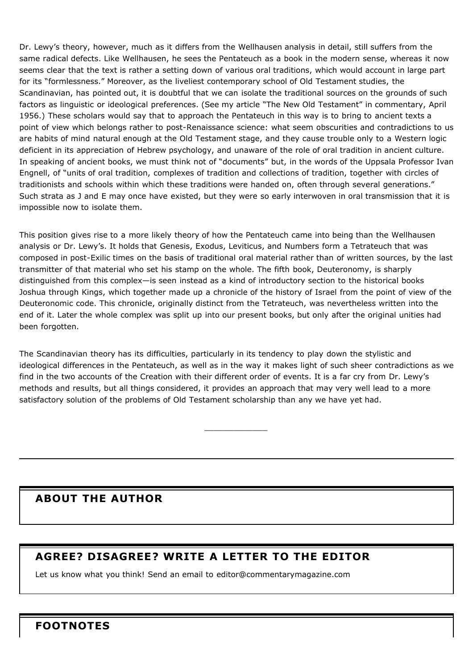Dr. Lewy's theory, however, much as it differs from the Wellhausen analysis in detail, still suffers from the same radical defects. Like Wellhausen, he sees the Pentateuch as a book in the modern sense, whereas it now seems clear that the text is rather a setting down of various oral traditions, which would account in large part for its "formlessness." Moreover, as the liveliest contemporary school of Old Testament studies, the Scandinavian, has pointed out, it is doubtful that we can isolate the traditional sources on the grounds of such factors as linguistic or ideological preferences. (See my article "The New Old Testament" in commentary, April 1956.) These scholars would say that to approach the Pentateuch in this way is to bring to ancient texts a point of view which belongs rather to post-Renaissance science: what seem obscurities and contradictions to us are habits of mind natural enough at the Old Testament stage, and they cause trouble only to a Western logic deficient in its appreciation of Hebrew psychology, and unaware of the role of oral tradition in ancient culture. In speaking of ancient books, we must think not of "documents" but, in the words of the Uppsala Professor Ivan Engnell, of "units of oral tradition, complexes of tradition and collections of tradition, together with circles of traditionists and schools within which these traditions were handed on, often through several generations." Such strata as J and E may once have existed, but they were so early interwoven in oral transmission that it is impossible now to isolate them.

This position gives rise to a more likely theory of how the Pentateuch came into being than the Wellhausen analysis or Dr. Lewy's. It holds that Genesis, Exodus, Leviticus, and Numbers form a Tetrateuch that was composed in post-Exilic times on the basis of traditional oral material rather than of written sources, by the last transmitter of that material who set his stamp on the whole. The fifth book, Deuteronomy, is sharply distinguished from this complex—is seen instead as a kind of introductory section to the historical books Joshua through Kings, which together made up a chronicle of the history of Israel from the point of view of the Deuteronomic code. This chronicle, originally distinct from the Tetrateuch, was nevertheless written into the end of it. Later the whole complex was split up into our present books, but only after the original unities had been forgotten.

The Scandinavian theory has its difficulties, particularly in its tendency to play down the stylistic and ideological differences in the Pentateuch, as well as in the way it makes light of such sheer contradictions as we find in the two accounts of the Creation with their different order of events. It is a far cry from Dr. Lewy's methods and results, but all things considered, it provides an approach that may very well lead to a more satisfactory solution of the problems of Old Testament scholarship than any we have yet had.

 $\overline{\phantom{a}}$ 

## **ABOUT THE AUTHOR**

## **AGREE? DISAGREE? WRITE A LETTER TO THE EDITOR**

Let us know what you think! Send an email to editor@commentarymagazine.com